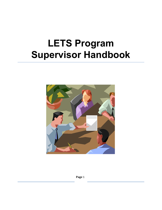# **LETS Program Supervisor Handbook**



**Page** 1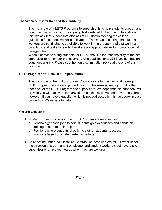## **The Site Supervisor's Role and Responsibility**

 college rules. The main role of a LETS Program site supervisor is to help students support and reinforce their education by assigning tasks related to their major. In addition to this, we ask that supervisors also assist HR staff in meeting the college guidelines for student worker employment. This means ensuring that student workers are continuing to be eligible to work in the program and that working conditions and tasks for student workers are appropriate and in compliance with

When it comes to hiring students for LETS jobs, it is the responsibility of the site supervisor to remember that everyone who qualifies for a LETS position has an equal opportunity. Please see the non-discrimination policy at the end of this document.

#### **LETS Program Staff Roles and Responsibilities**

The main role of the LETS Program Coordinator is to maintain and develop LETS Program policies and procedures. For this reason, we highly value the feedback of the LETS Program site supervisors. We hope that this handbook will provide you with answers to many of the questions we've heard over the years; however, if you have a question which is not addressed in this handbook, please contact us. We're here to help.

## **General Guidelines**

- ❖ Student worker positions in the LETS Program are reserved for:
	- o Technology-based jobs to help students gain experience and hands-on training related to their major.
	- o Positions where students directly help other students succeed.
	- o Positions based on student retention efforts.
- ❖ As specified under the Classified Contract, student workers MUST work under the direction of a permanent employee, and student workers must have a site supervisor or employee nearby when they are working.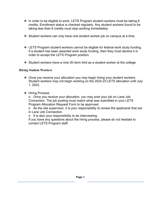- ❖ In order to be eligible to work, LETS Program student workers must be taking 6 credits. Enrollment status is checked regularly. Any student workers found to be taking less than 6 credits must stop working immediately.
- ❖ Student workers can only have one student worker job on campus at a time.
- ❖ LETS Program student workers cannot be eligible for federal work study funding. If a student has been awarded work study funding, then they must decline it in order to accept the LETS Program position.
- ❖ Student workers have a nine (9) term limit as a student worker at the college.

# **Hiring Student Workers**

- ❖ Once you receive your allocation you may begin hiring your student workers. Student workers may not begin working on the 2022-23 LETS allocation until July 1, 2022.
- ❖ Hiring Process:

o Once you receive your allocation, you may post your job on Lane Job Connection. The job posting must match what was submitted in your LETS Program Allocation Request Form to be approved.

o As the site supervisor, it is your responsibility to review the applicants that are in Lane Job Connection.

o It is also your responsibility to do interviewing.

If you have any questions about the hiring process, please do not hesitate to contact LETS Program staff.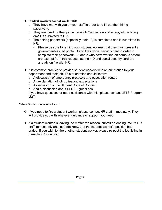#### ❖ **Student workers cannot work until:**

- o They have met with you or your staff in order to to fill out their hiring paperwork.
- o They are hired for their job in Lane job Connection and a copy of the hiring email is submitted to HR.
- o Their hiring paperwork (especially their I-9) is completed and is submitted to HR.
	- Please be sure to remind your student workers that they must present a government-issued photo ID and their social security card in order to complete their paperwork. Students who have worked on campus before are exempt from this request, as their ID and social security card are already on file with HR.
- ◆ It is common practice to provide student workers with an orientation to your department and their job. This orientation should involve:
	- o A discussion of emergency protocols and evacuation routes
	- o An explanation of job duties and expectations
	- o A discussion of the Student Code of Conduct
	- o And a discussion about FERPA guidelines

If you have questions or need assistance with this, please contact LETS Program staff.

#### **When Student Workers Leave**

- ❖ If you need to fire a student worker, please contact HR staff immediately. They will provide you with whatever guidance or support you need.
- ❖ If a student worker is leaving, no matter the reason, submit an ending PAF to HR staff immediately and let them know that the student worker's position has ended. If you wish to hire another student worker, please re-post the job listing in Lane Job Connection.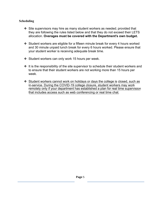# **Scheduling**

- ❖ Site supervisors may hire as many student workers as needed; provided that they are following the rules listed below and that they do not exceed their LETS allocation. **Overages must be covered with the Department's own budget.**
- ❖ Student workers are eligible for a fifteen minute break for every 4 hours worked and 30 minute unpaid lunch break for every 6 hours worked. Please ensure that your student worker is receiving adequate break time.
- ❖ Student workers can only work 15 hours per week.
- $\triangleq$  It is the responsibility of the site supervisor to schedule their student workers and to ensure that their student workers are not working more than 15 hours per week.
- ❖ Student workers cannot work on holidays or days the college is closed, such as in-service. During the COVID-19 college closure, student workers may work remotely only if your department has established a plan for real time supervision that includes access such as web conferencing or real time chat.